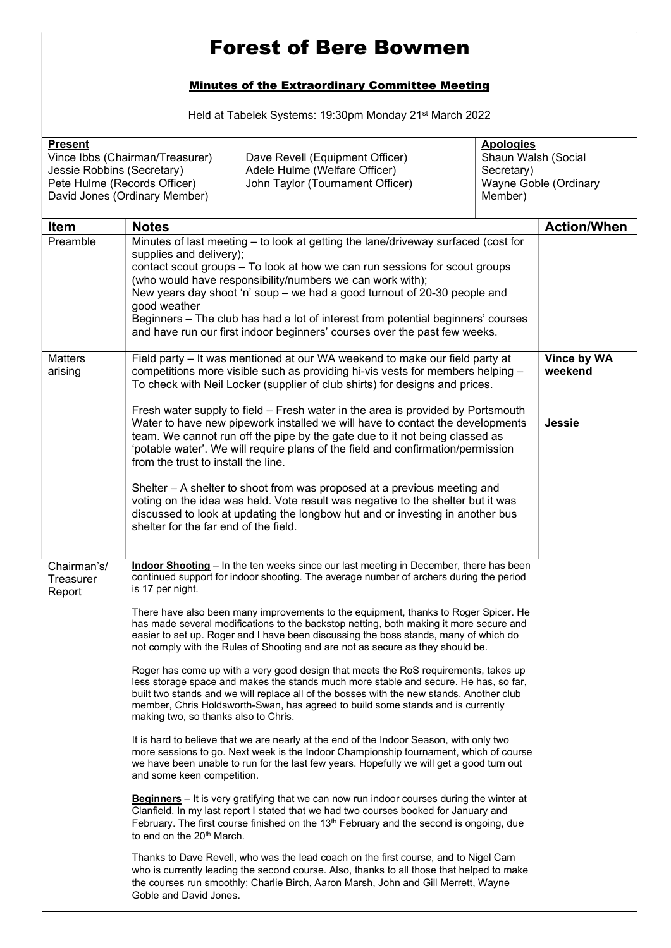## Forest of Bere Bowmen

## Minutes of the Extraordinary Committee Meeting

Held at Tabelek Systems: 19:30pm Monday 21st March 2022

| <b>Present</b><br>Vince Ibbs (Chairman/Treasurer)<br>Dave Revell (Equipment Officer)<br>Adele Hulme (Welfare Officer)<br>Jessie Robbins (Secretary)<br>Pete Hulme (Records Officer)<br>John Taylor (Tournament Officer)<br>David Jones (Ordinary Member) |                                                                                                                                                                                                                                                                                                                                                                                                                                                                                                                                                                                                                                                                                                                                                                                                                                                                                                                                                                                                                                                                                                                                                                                                                                                                                                                                                                                                                                                                                                                                                                                                                                                                                                                                                                                                                                                                                                                                    | <b>Apologies</b><br>Secretary)<br>Member) | Shaun Walsh (Social<br>Wayne Goble (Ordinary |  |
|----------------------------------------------------------------------------------------------------------------------------------------------------------------------------------------------------------------------------------------------------------|------------------------------------------------------------------------------------------------------------------------------------------------------------------------------------------------------------------------------------------------------------------------------------------------------------------------------------------------------------------------------------------------------------------------------------------------------------------------------------------------------------------------------------------------------------------------------------------------------------------------------------------------------------------------------------------------------------------------------------------------------------------------------------------------------------------------------------------------------------------------------------------------------------------------------------------------------------------------------------------------------------------------------------------------------------------------------------------------------------------------------------------------------------------------------------------------------------------------------------------------------------------------------------------------------------------------------------------------------------------------------------------------------------------------------------------------------------------------------------------------------------------------------------------------------------------------------------------------------------------------------------------------------------------------------------------------------------------------------------------------------------------------------------------------------------------------------------------------------------------------------------------------------------------------------------|-------------------------------------------|----------------------------------------------|--|
| <b>Item</b>                                                                                                                                                                                                                                              | <b>Notes</b>                                                                                                                                                                                                                                                                                                                                                                                                                                                                                                                                                                                                                                                                                                                                                                                                                                                                                                                                                                                                                                                                                                                                                                                                                                                                                                                                                                                                                                                                                                                                                                                                                                                                                                                                                                                                                                                                                                                       |                                           | <b>Action/When</b>                           |  |
| Preamble                                                                                                                                                                                                                                                 | Minutes of last meeting - to look at getting the lane/driveway surfaced (cost for<br>supplies and delivery);<br>contact scout groups - To look at how we can run sessions for scout groups<br>(who would have responsibility/numbers we can work with);<br>New years day shoot 'n' soup - we had a good turnout of 20-30 people and<br>good weather<br>Beginners - The club has had a lot of interest from potential beginners' courses<br>and have run our first indoor beginners' courses over the past few weeks.                                                                                                                                                                                                                                                                                                                                                                                                                                                                                                                                                                                                                                                                                                                                                                                                                                                                                                                                                                                                                                                                                                                                                                                                                                                                                                                                                                                                               |                                           |                                              |  |
| <b>Matters</b><br>arising                                                                                                                                                                                                                                | Field party - It was mentioned at our WA weekend to make our field party at<br>competitions more visible such as providing hi-vis vests for members helping -<br>To check with Neil Locker (supplier of club shirts) for designs and prices.<br>Fresh water supply to field – Fresh water in the area is provided by Portsmouth<br>Water to have new pipework installed we will have to contact the developments<br>team. We cannot run off the pipe by the gate due to it not being classed as<br>'potable water'. We will require plans of the field and confirmation/permission<br>from the trust to install the line.<br>Shelter - A shelter to shoot from was proposed at a previous meeting and<br>voting on the idea was held. Vote result was negative to the shelter but it was<br>discussed to look at updating the longbow hut and or investing in another bus<br>shelter for the far end of the field.                                                                                                                                                                                                                                                                                                                                                                                                                                                                                                                                                                                                                                                                                                                                                                                                                                                                                                                                                                                                                 |                                           | Vince by WA<br>weekend<br><b>Jessie</b>      |  |
| Chairman's/<br>Treasurer<br>Report                                                                                                                                                                                                                       | Indoor Shooting - In the ten weeks since our last meeting in December, there has been<br>continued support for indoor shooting. The average number of archers during the period<br>is 17 per night.<br>There have also been many improvements to the equipment, thanks to Roger Spicer. He<br>has made several modifications to the backstop netting, both making it more secure and<br>easier to set up. Roger and I have been discussing the boss stands, many of which do<br>not comply with the Rules of Shooting and are not as secure as they should be.<br>Roger has come up with a very good design that meets the RoS requirements, takes up<br>less storage space and makes the stands much more stable and secure. He has, so far,<br>built two stands and we will replace all of the bosses with the new stands. Another club<br>member, Chris Holdsworth-Swan, has agreed to build some stands and is currently<br>making two, so thanks also to Chris.<br>It is hard to believe that we are nearly at the end of the Indoor Season, with only two<br>more sessions to go. Next week is the Indoor Championship tournament, which of course<br>we have been unable to run for the last few years. Hopefully we will get a good turn out<br>and some keen competition.<br><b>Beginners</b> – It is very gratifying that we can now run indoor courses during the winter at<br>Clanfield. In my last report I stated that we had two courses booked for January and<br>February. The first course finished on the 13 <sup>th</sup> February and the second is ongoing, due<br>to end on the 20 <sup>th</sup> March.<br>Thanks to Dave Revell, who was the lead coach on the first course, and to Nigel Cam<br>who is currently leading the second course. Also, thanks to all those that helped to make<br>the courses run smoothly; Charlie Birch, Aaron Marsh, John and Gill Merrett, Wayne<br>Goble and David Jones. |                                           |                                              |  |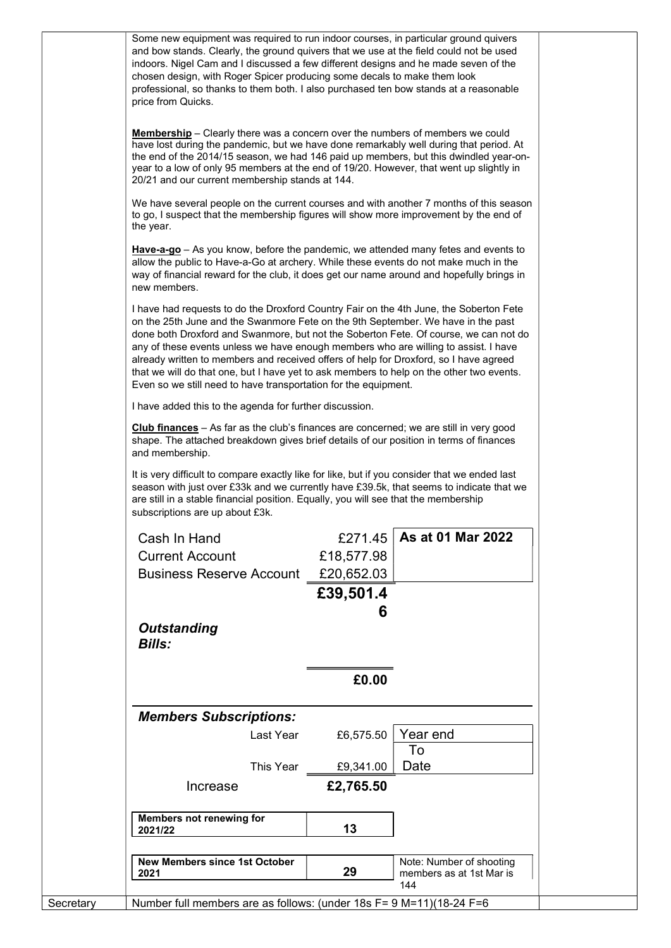| Some new equipment was required to run indoor courses, in particular ground quivers<br>and bow stands. Clearly, the ground quivers that we use at the field could not be used<br>indoors. Nigel Cam and I discussed a few different designs and he made seven of the<br>chosen design, with Roger Spicer producing some decals to make them look<br>professional, so thanks to them both. I also purchased ten bow stands at a reasonable<br>price from Quicks.                                                                                                                                                   |  |  |  |
|-------------------------------------------------------------------------------------------------------------------------------------------------------------------------------------------------------------------------------------------------------------------------------------------------------------------------------------------------------------------------------------------------------------------------------------------------------------------------------------------------------------------------------------------------------------------------------------------------------------------|--|--|--|
| <b>Membership</b> - Clearly there was a concern over the numbers of members we could<br>have lost during the pandemic, but we have done remarkably well during that period. At<br>the end of the 2014/15 season, we had 146 paid up members, but this dwindled year-on-<br>year to a low of only 95 members at the end of 19/20. However, that went up slightly in<br>20/21 and our current membership stands at 144.                                                                                                                                                                                             |  |  |  |
| We have several people on the current courses and with another 7 months of this season<br>to go, I suspect that the membership figures will show more improvement by the end of<br>the year.                                                                                                                                                                                                                                                                                                                                                                                                                      |  |  |  |
| Have-a-go - As you know, before the pandemic, we attended many fetes and events to<br>allow the public to Have-a-Go at archery. While these events do not make much in the<br>way of financial reward for the club, it does get our name around and hopefully brings in<br>new members.                                                                                                                                                                                                                                                                                                                           |  |  |  |
| I have had requests to do the Droxford Country Fair on the 4th June, the Soberton Fete<br>on the 25th June and the Swanmore Fete on the 9th September. We have in the past<br>done both Droxford and Swanmore, but not the Soberton Fete. Of course, we can not do<br>any of these events unless we have enough members who are willing to assist. I have<br>already written to members and received offers of help for Droxford, so I have agreed<br>that we will do that one, but I have yet to ask members to help on the other two events.<br>Even so we still need to have transportation for the equipment. |  |  |  |
| I have added this to the agenda for further discussion.                                                                                                                                                                                                                                                                                                                                                                                                                                                                                                                                                           |  |  |  |
| Club finances - As far as the club's finances are concerned; we are still in very good<br>shape. The attached breakdown gives brief details of our position in terms of finances<br>and membership.                                                                                                                                                                                                                                                                                                                                                                                                               |  |  |  |
| It is very difficult to compare exactly like for like, but if you consider that we ended last<br>season with just over £33k and we currently have £39.5k, that seems to indicate that we<br>are still in a stable financial position. Equally, you will see that the membership<br>subscriptions are up about £3k.                                                                                                                                                                                                                                                                                                |  |  |  |
| As at 01 Mar 2022<br>Cash In Hand<br>£271.45                                                                                                                                                                                                                                                                                                                                                                                                                                                                                                                                                                      |  |  |  |
| <b>Current Account</b><br>£18,577.98                                                                                                                                                                                                                                                                                                                                                                                                                                                                                                                                                                              |  |  |  |
| <b>Business Reserve Account</b><br>£20,652.03                                                                                                                                                                                                                                                                                                                                                                                                                                                                                                                                                                     |  |  |  |
| £39,501.4                                                                                                                                                                                                                                                                                                                                                                                                                                                                                                                                                                                                         |  |  |  |
| 6<br><b>Outstanding</b>                                                                                                                                                                                                                                                                                                                                                                                                                                                                                                                                                                                           |  |  |  |
| <b>Bills:</b>                                                                                                                                                                                                                                                                                                                                                                                                                                                                                                                                                                                                     |  |  |  |
| £0.00                                                                                                                                                                                                                                                                                                                                                                                                                                                                                                                                                                                                             |  |  |  |
| <b>Members Subscriptions:</b>                                                                                                                                                                                                                                                                                                                                                                                                                                                                                                                                                                                     |  |  |  |
| Year end<br>£6,575.50<br>Last Year                                                                                                                                                                                                                                                                                                                                                                                                                                                                                                                                                                                |  |  |  |
| To<br>Date<br>This Year<br>£9,341.00                                                                                                                                                                                                                                                                                                                                                                                                                                                                                                                                                                              |  |  |  |
| £2,765.50<br>Increase                                                                                                                                                                                                                                                                                                                                                                                                                                                                                                                                                                                             |  |  |  |
|                                                                                                                                                                                                                                                                                                                                                                                                                                                                                                                                                                                                                   |  |  |  |
| <b>Members not renewing for</b><br>13<br>2021/22                                                                                                                                                                                                                                                                                                                                                                                                                                                                                                                                                                  |  |  |  |
|                                                                                                                                                                                                                                                                                                                                                                                                                                                                                                                                                                                                                   |  |  |  |
| <b>New Members since 1st October</b><br>Note: Number of shooting<br>29<br>members as at 1st Mar is<br>2021<br>144                                                                                                                                                                                                                                                                                                                                                                                                                                                                                                 |  |  |  |
|                                                                                                                                                                                                                                                                                                                                                                                                                                                                                                                                                                                                                   |  |  |  |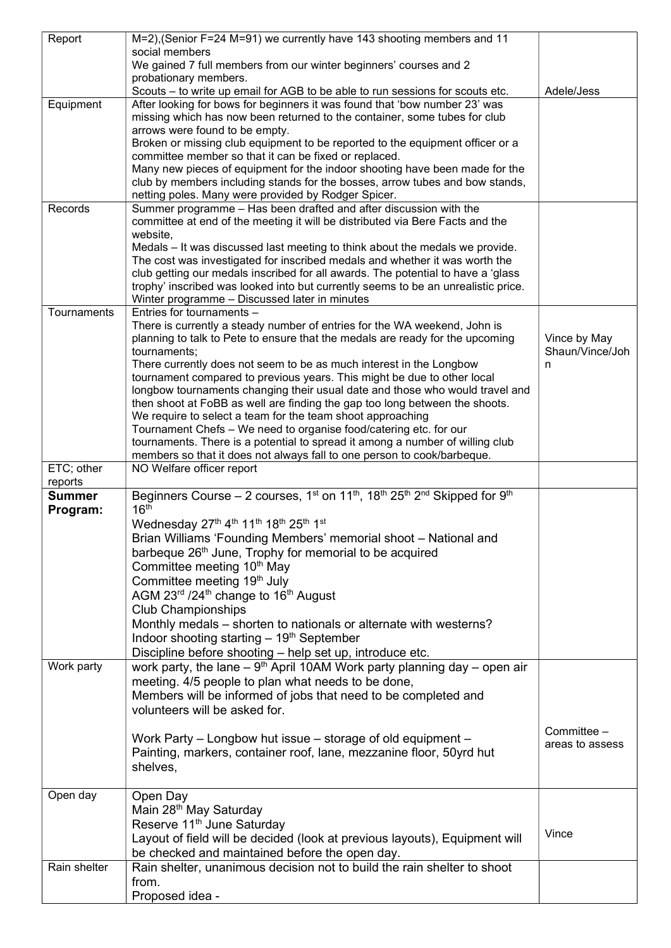| Report        | M=2), (Senior F=24 M=91) we currently have 143 shooting members and 11                                                                                      |                 |
|---------------|-------------------------------------------------------------------------------------------------------------------------------------------------------------|-----------------|
|               | social members                                                                                                                                              |                 |
|               | We gained 7 full members from our winter beginners' courses and 2                                                                                           |                 |
|               | probationary members.                                                                                                                                       |                 |
|               | Scouts - to write up email for AGB to be able to run sessions for scouts etc.                                                                               | Adele/Jess      |
| Equipment     | After looking for bows for beginners it was found that 'bow number 23' was                                                                                  |                 |
|               | missing which has now been returned to the container, some tubes for club                                                                                   |                 |
|               | arrows were found to be empty.                                                                                                                              |                 |
|               | Broken or missing club equipment to be reported to the equipment officer or a                                                                               |                 |
|               | committee member so that it can be fixed or replaced.                                                                                                       |                 |
|               | Many new pieces of equipment for the indoor shooting have been made for the<br>club by members including stands for the bosses, arrow tubes and bow stands, |                 |
|               | netting poles. Many were provided by Rodger Spicer.                                                                                                         |                 |
| Records       | Summer programme - Has been drafted and after discussion with the                                                                                           |                 |
|               | committee at end of the meeting it will be distributed via Bere Facts and the                                                                               |                 |
|               | website,                                                                                                                                                    |                 |
|               | Medals - It was discussed last meeting to think about the medals we provide.                                                                                |                 |
|               | The cost was investigated for inscribed medals and whether it was worth the                                                                                 |                 |
|               | club getting our medals inscribed for all awards. The potential to have a 'glass                                                                            |                 |
|               | trophy' inscribed was looked into but currently seems to be an unrealistic price.                                                                           |                 |
|               | Winter programme - Discussed later in minutes                                                                                                               |                 |
| Tournaments   | Entries for tournaments -                                                                                                                                   |                 |
|               | There is currently a steady number of entries for the WA weekend, John is                                                                                   |                 |
|               | planning to talk to Pete to ensure that the medals are ready for the upcoming                                                                               | Vince by May    |
|               | tournaments;                                                                                                                                                | Shaun/Vince/Joh |
|               | There currently does not seem to be as much interest in the Longbow                                                                                         | n               |
|               | tournament compared to previous years. This might be due to other local                                                                                     |                 |
|               | longbow tournaments changing their usual date and those who would travel and<br>then shoot at FoBB as well are finding the gap too long between the shoots. |                 |
|               | We require to select a team for the team shoot approaching                                                                                                  |                 |
|               | Tournament Chefs - We need to organise food/catering etc. for our                                                                                           |                 |
|               | tournaments. There is a potential to spread it among a number of willing club                                                                               |                 |
|               | members so that it does not always fall to one person to cook/barbeque.                                                                                     |                 |
| ETC; other    | NO Welfare officer report                                                                                                                                   |                 |
| reports       |                                                                                                                                                             |                 |
| <b>Summer</b> | Beginners Course - 2 courses, 1 <sup>st</sup> on 11 <sup>th</sup> , 18 <sup>th</sup> 25 <sup>th</sup> 2 <sup>nd</sup> Skipped for 9 <sup>th</sup>           |                 |
| Program:      | 16 <sup>th</sup>                                                                                                                                            |                 |
|               | Wednesday 27th 4th 11th 18th 25th 1st                                                                                                                       |                 |
|               | Brian Williams 'Founding Members' memorial shoot - National and                                                                                             |                 |
|               | barbeque 26 <sup>th</sup> June, Trophy for memorial to be acquired                                                                                          |                 |
|               | Committee meeting 10 <sup>th</sup> May                                                                                                                      |                 |
|               | Committee meeting 19th July                                                                                                                                 |                 |
|               | AGM 23rd /24th change to 16th August                                                                                                                        |                 |
|               | <b>Club Championships</b>                                                                                                                                   |                 |
|               | Monthly medals – shorten to nationals or alternate with westerns?                                                                                           |                 |
|               | Indoor shooting starting $-19th$ September                                                                                                                  |                 |
|               | Discipline before shooting - help set up, introduce etc.                                                                                                    |                 |
| Work party    | work party, the lane $-9th$ April 10AM Work party planning day $-$ open air                                                                                 |                 |
|               |                                                                                                                                                             |                 |
|               |                                                                                                                                                             |                 |
|               | meeting. 4/5 people to plan what needs to be done,                                                                                                          |                 |
|               | Members will be informed of jobs that need to be completed and                                                                                              |                 |
|               | volunteers will be asked for.                                                                                                                               |                 |
|               |                                                                                                                                                             | Committee -     |
|               | Work Party – Longbow hut issue – storage of old equipment –                                                                                                 | areas to assess |
|               | Painting, markers, container roof, lane, mezzanine floor, 50 yrd hut                                                                                        |                 |
|               | shelves,                                                                                                                                                    |                 |
|               |                                                                                                                                                             |                 |
| Open day      | Open Day                                                                                                                                                    |                 |
|               | Main 28 <sup>th</sup> May Saturday                                                                                                                          |                 |
|               | Reserve 11 <sup>th</sup> June Saturday                                                                                                                      | Vince           |
|               | Layout of field will be decided (look at previous layouts), Equipment will                                                                                  |                 |
|               | be checked and maintained before the open day.                                                                                                              |                 |
| Rain shelter  | Rain shelter, unanimous decision not to build the rain shelter to shoot                                                                                     |                 |
|               | from.<br>Proposed idea -                                                                                                                                    |                 |